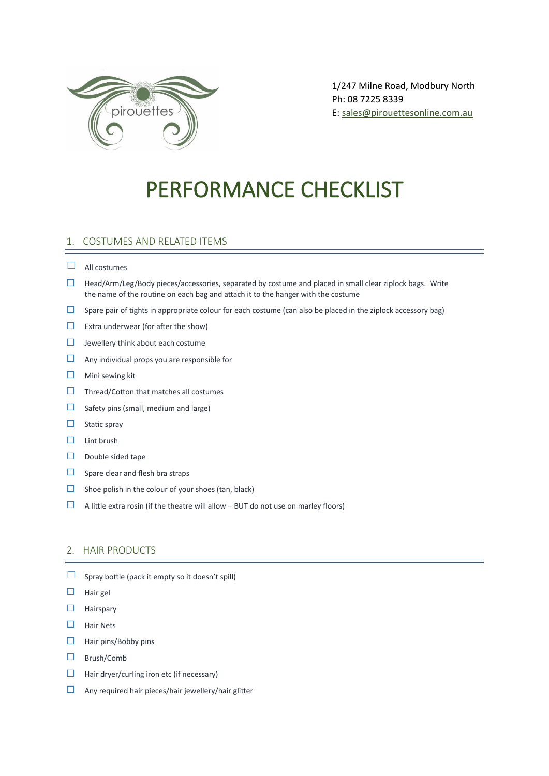

1/247 Milne Road, Modbury North Ph: 08 7225 8339 E: [sales@pirouettesonline.com.au](mailto:sales@pirouettesonline.com.au)

# PERFORMANCE CHECKLIST

## 1. COSTUMES AND RELATED ITEMS

#### $\Box$  All costumes

- ☐ Head/Arm/Leg/Body pieces/accessories, separated by costume and placed in small clear ziplock bags. Write the name of the routine on each bag and attach it to the hanger with the costume
- $\Box$  Spare pair of tights in appropriate colour for each costume (can also be placed in the ziplock accessory bag)
- $\Box$  Extra underwear (for after the show)
- ☐ Jewellery think about each costume
- ☐ Any individual props you are responsible for
- ☐ Mini sewing kit
- ☐ Thread/Cotton that matches all costumes
- $\Box$  Safety pins (small, medium and large)
- $\Box$  Static spray
- $□$  Lint brush
- ☐ Double sided tape
- $\Box$  Spare clear and flesh bra straps
- $\Box$  Shoe polish in the colour of your shoes (tan, black)
- $\Box$  A little extra rosin (if the theatre will allow BUT do not use on marley floors)

#### 2. HAIR PRODUCTS

- $\Box$  Spray bottle (pack it empty so it doesn't spill)
- ☐ Hair gel
- ☐ Hairspary
- ☐ Hair Nets
- ☐ Hair pins/Bobby pins
- ☐ Brush/Comb
- $\Box$  Hair dryer/curling iron etc (if necessary)
- ☐ Any required hair pieces/hair jewellery/hair glitter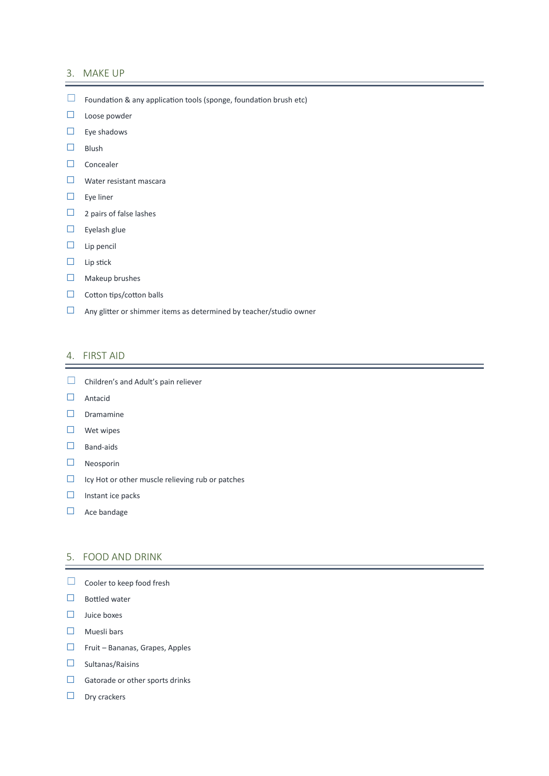#### 3. MAKE UP

- ☐ Foundation & any application tools (sponge, foundation brush etc)
- ☐ Loose powder
- $□$  Eye shadows
- ☐ Blush
- ☐ Concealer
- ☐ Water resistant mascara
- ☐ Eye liner
- □ 2 pairs of false lashes
- ☐ Eyelash glue
- ☐ Lip pencil
- ☐ Lip stick
- ☐ Makeup brushes
- □ Cotton tips/cotton balls
- $\Box$  Any glitter or shimmer items as determined by teacher/studio owner

#### 4. FIRST AID

- □ Children's and Adult's pain reliever
- ☐ Antacid
- □ Dramamine
- ☐ Wet wipes
- □ Band-aids
- ☐ Neosporin
- ☐ Icy Hot or other muscle relieving rub or patches
- ☐ Instant ice packs
- □ Ace bandage

### 5. FOOD AND DRINK

- □ Cooler to keep food fresh
- □ Bottled water
- ☐ Juice boxes
- ☐ Muesli bars
- ☐ Fruit Bananas, Grapes, Apples
- ☐ Sultanas/Raisins
- $\Box$  Gatorade or other sports drinks
- □ Dry crackers